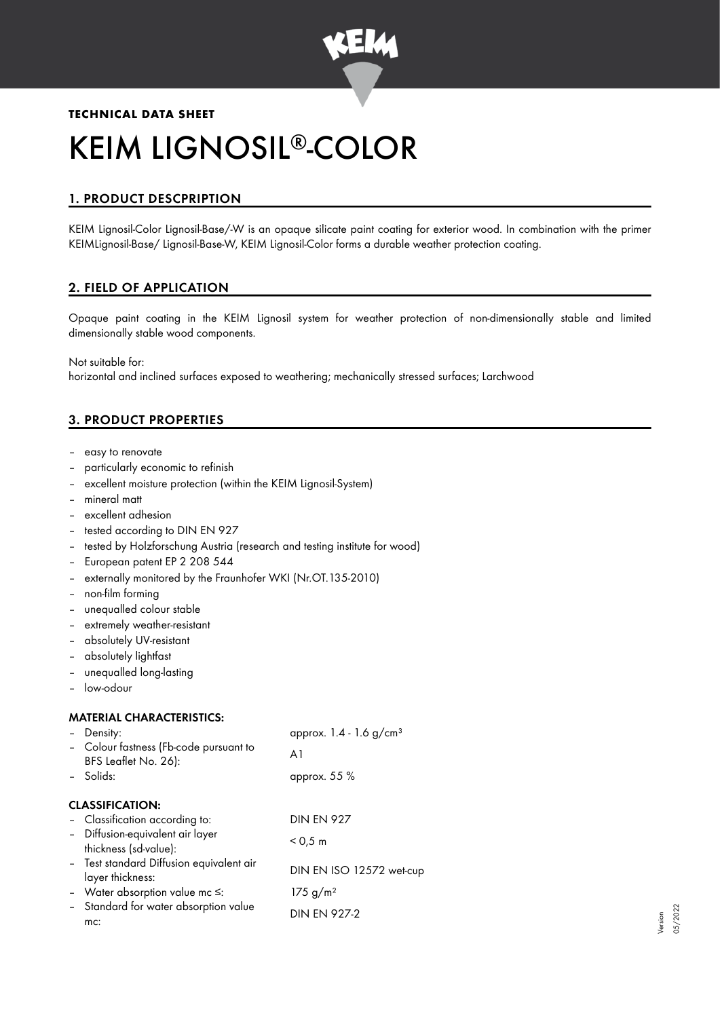

# **TECHNICAL DATA SHEET** KEIM LIGNOSIL®-COLOR

# 1. PRODUCT DESCPRIPTION

KEIM Lignosil-Color Lignosil-Base/-W is an opaque silicate paint coating for exterior wood. In combination with the primer KEIMLignosil-Base/ Lignosil-Base-W, KEIM Lignosil-Color forms a durable weather protection coating.

# 2. FIELD OF APPLICATION

Opaque paint coating in the KEIM Lignosil system for weather protection of non-dimensionally stable and limited dimensionally stable wood components.

Not suitable for:

horizontal and inclined surfaces exposed to weathering; mechanically stressed surfaces; Larchwood

# 3. PRODUCT PROPERTIES

- easy to renovate
- particularly economic to refinish
- excellent moisture protection (within the KEIM Lignosil-System)
- mineral matt
- excellent adhesion
- tested according to DIN EN 927
- tested by Holzforschung Austria (research and testing institute for wood)
- European patent EP 2 208 544
- externally monitored by the Fraunhofer WKI (Nr.OT.135-2010)
- non-film forming
- unequalled colour stable
- extremely weather-resistant
- absolutely UV-resistant
- absolutely lightfast
- unequalled long-lasting
- low-odour

# MATERIAL CHARACTERISTICS:

| - Density:                                                     | approx. $1.4 - 1.6$ g/cm <sup>3</sup> |  |  |  |  |
|----------------------------------------------------------------|---------------------------------------|--|--|--|--|
| - Colour fastness (Fb-code pursuant to<br>BFS Leaflet No. 26): | A1                                    |  |  |  |  |
| - Solids:                                                      | approx. $55\%$                        |  |  |  |  |
| <b>CLASSIFICATION:</b>                                         |                                       |  |  |  |  |
| - Classification according to:                                 | <b>DIN EN 927</b>                     |  |  |  |  |
| - Diffusion-equivalent air layer<br>thickness (sd-value):      | $< 0.5 \; \mathrm{m}$                 |  |  |  |  |
| - Test standard Diffusion equivalent air<br>layer thickness:   | DIN EN ISO 12572 wet-cup              |  |  |  |  |
| - Water absorption value mc $\leq$ :                           | 175 g/m <sup>2</sup>                  |  |  |  |  |
| - Standard for water absorption value<br>mc:                   | <b>DIN EN 927-2</b>                   |  |  |  |  |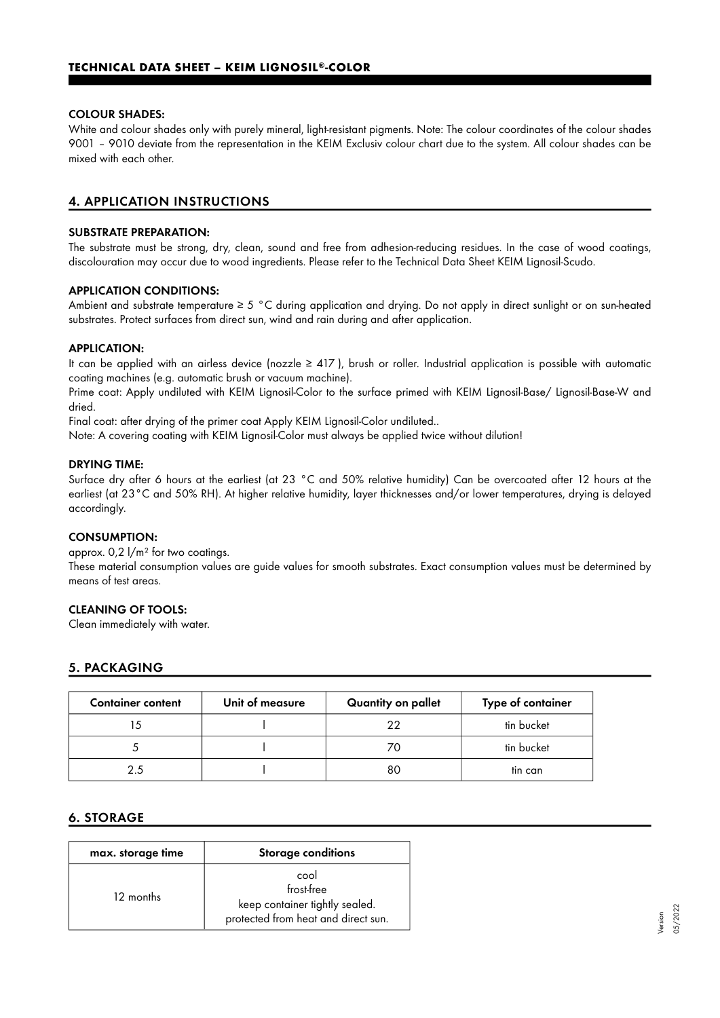#### COLOUR SHADES:

White and colour shades only with purely mineral, light-resistant pigments. Note: The colour coordinates of the colour shades 9001 – 9010 deviate from the representation in the KEIM Exclusiv colour chart due to the system. All colour shades can be mixed with each other.

# 4. APPLICATION INSTRUCTIONS

# SUBSTRATE PREPARATION:

The substrate must be strong, dry, clean, sound and free from adhesion-reducing residues. In the case of wood coatings, discolouration may occur due to wood ingredients. Please refer to the Technical Data Sheet KEIM Lignosil-Scudo.

#### APPLICATION CONDITIONS:

Ambient and substrate temperature ≥ 5 °C during application and drying. Do not apply in direct sunlight or on sun-heated substrates. Protect surfaces from direct sun, wind and rain during and after application.

#### APPLICATION:

It can be applied with an airless device (nozzle ≥ 417 ), brush or roller. Industrial application is possible with automatic coating machines (e.g. automatic brush or vacuum machine).

Prime coat: Apply undiluted with KEIM Lignosil-Color to the surface primed with KEIM Lignosil-Base/ Lignosil-Base-W and dried.

Final coat: after drying of the primer coat Apply KEIM Lignosil-Color undiluted..

Note: A covering coating with KEIM Lignosil-Color must always be applied twice without dilution!

#### DRYING TIME:

Surface dry after 6 hours at the earliest (at 23 °C and 50% relative humidity) Can be overcoated after 12 hours at the earliest (at 23°C and 50% RH). At higher relative humidity, layer thicknesses and/or lower temperatures, drying is delayed accordingly.

#### CONSUMPTION:

approx. 0,2 l/m² for two coatings.

These material consumption values are guide values for smooth substrates. Exact consumption values must be determined by means of test areas.

#### CLEANING OF TOOLS:

Clean immediately with water.

# 5. PACKAGING

| <b>Container content</b> | Unit of measure | Quantity on pallet | Type of container |
|--------------------------|-----------------|--------------------|-------------------|
|                          |                 | つつ                 | tin bucket        |
|                          |                 | 70                 | tin bucket        |
|                          |                 | 80                 | tin can           |

# 6. STORAGE

| max. storage time | <b>Storage conditions</b>                                                                   |
|-------------------|---------------------------------------------------------------------------------------------|
| 12 months         | cool<br>frost-free<br>keep container tightly sealed.<br>protected from heat and direct sun. |